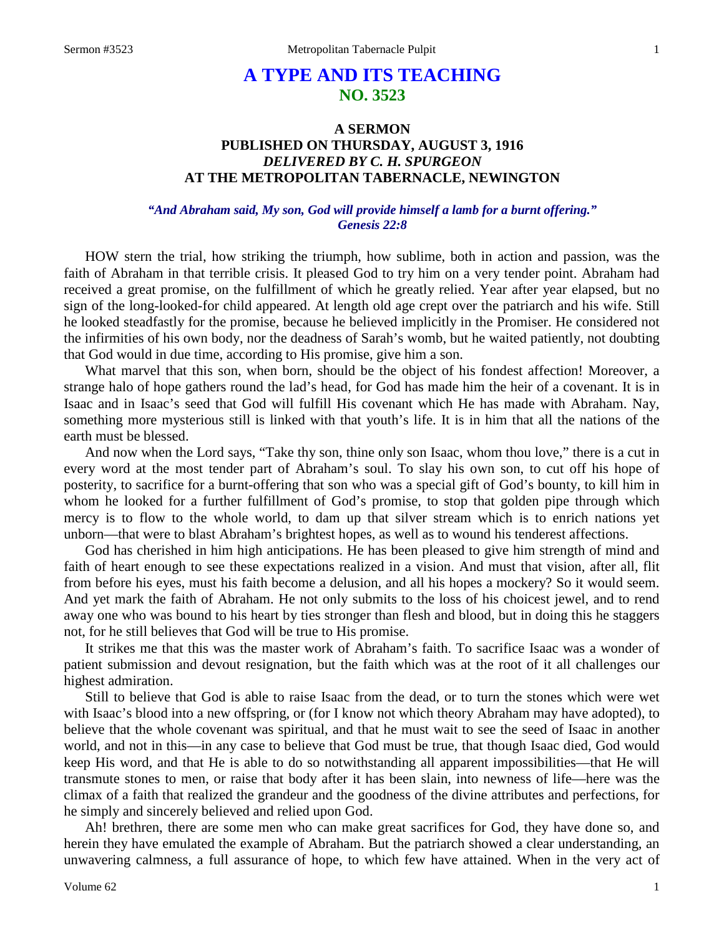# **A TYPE AND ITS TEACHING NO. 3523**

# **A SERMON PUBLISHED ON THURSDAY, AUGUST 3, 1916** *DELIVERED BY C. H. SPURGEON* **AT THE METROPOLITAN TABERNACLE, NEWINGTON**

### *"And Abraham said, My son, God will provide himself a lamb for a burnt offering." Genesis 22:8*

HOW stern the trial, how striking the triumph, how sublime, both in action and passion, was the faith of Abraham in that terrible crisis. It pleased God to try him on a very tender point. Abraham had received a great promise, on the fulfillment of which he greatly relied. Year after year elapsed, but no sign of the long-looked-for child appeared. At length old age crept over the patriarch and his wife. Still he looked steadfastly for the promise, because he believed implicitly in the Promiser. He considered not the infirmities of his own body, nor the deadness of Sarah's womb, but he waited patiently, not doubting that God would in due time, according to His promise, give him a son.

What marvel that this son, when born, should be the object of his fondest affection! Moreover, a strange halo of hope gathers round the lad's head, for God has made him the heir of a covenant. It is in Isaac and in Isaac's seed that God will fulfill His covenant which He has made with Abraham. Nay, something more mysterious still is linked with that youth's life. It is in him that all the nations of the earth must be blessed.

And now when the Lord says, "Take thy son, thine only son Isaac, whom thou love," there is a cut in every word at the most tender part of Abraham's soul. To slay his own son, to cut off his hope of posterity, to sacrifice for a burnt-offering that son who was a special gift of God's bounty, to kill him in whom he looked for a further fulfillment of God's promise, to stop that golden pipe through which mercy is to flow to the whole world, to dam up that silver stream which is to enrich nations yet unborn—that were to blast Abraham's brightest hopes, as well as to wound his tenderest affections.

God has cherished in him high anticipations. He has been pleased to give him strength of mind and faith of heart enough to see these expectations realized in a vision. And must that vision, after all, flit from before his eyes, must his faith become a delusion, and all his hopes a mockery? So it would seem. And yet mark the faith of Abraham. He not only submits to the loss of his choicest jewel, and to rend away one who was bound to his heart by ties stronger than flesh and blood, but in doing this he staggers not, for he still believes that God will be true to His promise.

It strikes me that this was the master work of Abraham's faith. To sacrifice Isaac was a wonder of patient submission and devout resignation, but the faith which was at the root of it all challenges our highest admiration.

Still to believe that God is able to raise Isaac from the dead, or to turn the stones which were wet with Isaac's blood into a new offspring, or (for I know not which theory Abraham may have adopted), to believe that the whole covenant was spiritual, and that he must wait to see the seed of Isaac in another world, and not in this—in any case to believe that God must be true, that though Isaac died, God would keep His word, and that He is able to do so notwithstanding all apparent impossibilities—that He will transmute stones to men, or raise that body after it has been slain, into newness of life—here was the climax of a faith that realized the grandeur and the goodness of the divine attributes and perfections, for he simply and sincerely believed and relied upon God.

Ah! brethren, there are some men who can make great sacrifices for God, they have done so, and herein they have emulated the example of Abraham. But the patriarch showed a clear understanding, an unwavering calmness, a full assurance of hope, to which few have attained. When in the very act of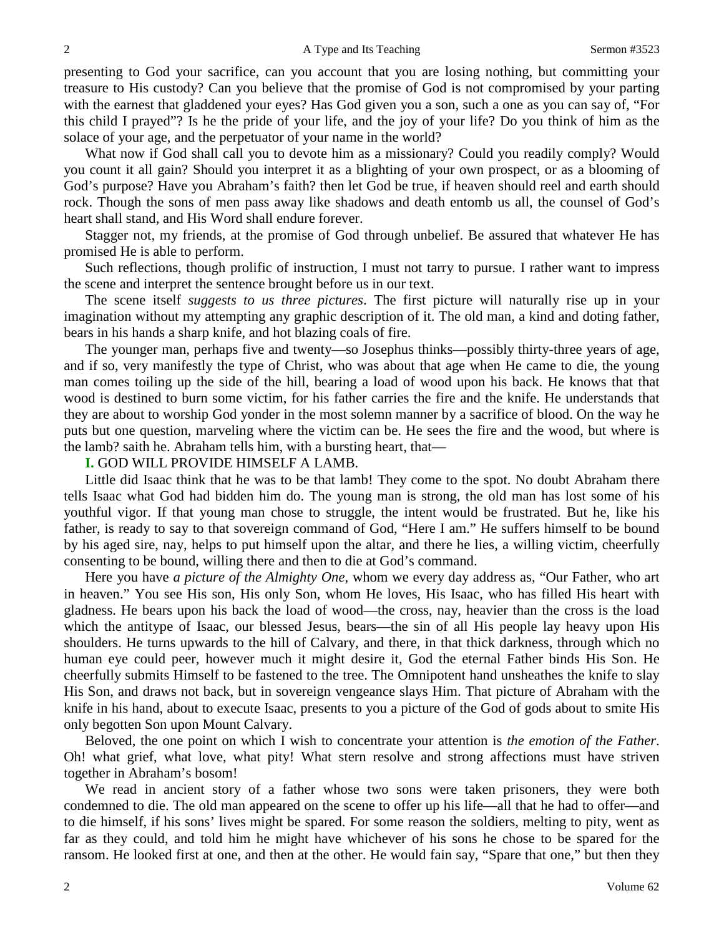presenting to God your sacrifice, can you account that you are losing nothing, but committing your treasure to His custody? Can you believe that the promise of God is not compromised by your parting with the earnest that gladdened your eyes? Has God given you a son, such a one as you can say of, "For this child I prayed"? Is he the pride of your life, and the joy of your life? Do you think of him as the solace of your age, and the perpetuator of your name in the world?

What now if God shall call you to devote him as a missionary? Could you readily comply? Would you count it all gain? Should you interpret it as a blighting of your own prospect, or as a blooming of God's purpose? Have you Abraham's faith? then let God be true, if heaven should reel and earth should rock. Though the sons of men pass away like shadows and death entomb us all, the counsel of God's heart shall stand, and His Word shall endure forever.

Stagger not, my friends, at the promise of God through unbelief. Be assured that whatever He has promised He is able to perform.

Such reflections, though prolific of instruction, I must not tarry to pursue. I rather want to impress the scene and interpret the sentence brought before us in our text.

The scene itself *suggests to us three pictures*. The first picture will naturally rise up in your imagination without my attempting any graphic description of it. The old man, a kind and doting father, bears in his hands a sharp knife, and hot blazing coals of fire.

The younger man, perhaps five and twenty—so Josephus thinks—possibly thirty-three years of age, and if so, very manifestly the type of Christ, who was about that age when He came to die, the young man comes toiling up the side of the hill, bearing a load of wood upon his back. He knows that that wood is destined to burn some victim, for his father carries the fire and the knife. He understands that they are about to worship God yonder in the most solemn manner by a sacrifice of blood. On the way he puts but one question, marveling where the victim can be. He sees the fire and the wood, but where is the lamb? saith he. Abraham tells him, with a bursting heart, that—

**I.** GOD WILL PROVIDE HIMSELF A LAMB.

Little did Isaac think that he was to be that lamb! They come to the spot. No doubt Abraham there tells Isaac what God had bidden him do. The young man is strong, the old man has lost some of his youthful vigor. If that young man chose to struggle, the intent would be frustrated. But he, like his father, is ready to say to that sovereign command of God, "Here I am." He suffers himself to be bound by his aged sire, nay, helps to put himself upon the altar, and there he lies, a willing victim, cheerfully consenting to be bound, willing there and then to die at God's command.

Here you have *a picture of the Almighty One,* whom we every day address as, "Our Father, who art in heaven." You see His son, His only Son, whom He loves, His Isaac, who has filled His heart with gladness. He bears upon his back the load of wood—the cross, nay, heavier than the cross is the load which the antitype of Isaac, our blessed Jesus, bears—the sin of all His people lay heavy upon His shoulders. He turns upwards to the hill of Calvary, and there, in that thick darkness, through which no human eye could peer, however much it might desire it, God the eternal Father binds His Son. He cheerfully submits Himself to be fastened to the tree. The Omnipotent hand unsheathes the knife to slay His Son, and draws not back, but in sovereign vengeance slays Him. That picture of Abraham with the knife in his hand, about to execute Isaac, presents to you a picture of the God of gods about to smite His only begotten Son upon Mount Calvary.

Beloved, the one point on which I wish to concentrate your attention is *the emotion of the Father*. Oh! what grief, what love, what pity! What stern resolve and strong affections must have striven together in Abraham's bosom!

We read in ancient story of a father whose two sons were taken prisoners, they were both condemned to die. The old man appeared on the scene to offer up his life—all that he had to offer—and to die himself, if his sons' lives might be spared. For some reason the soldiers, melting to pity, went as far as they could, and told him he might have whichever of his sons he chose to be spared for the ransom. He looked first at one, and then at the other. He would fain say, "Spare that one," but then they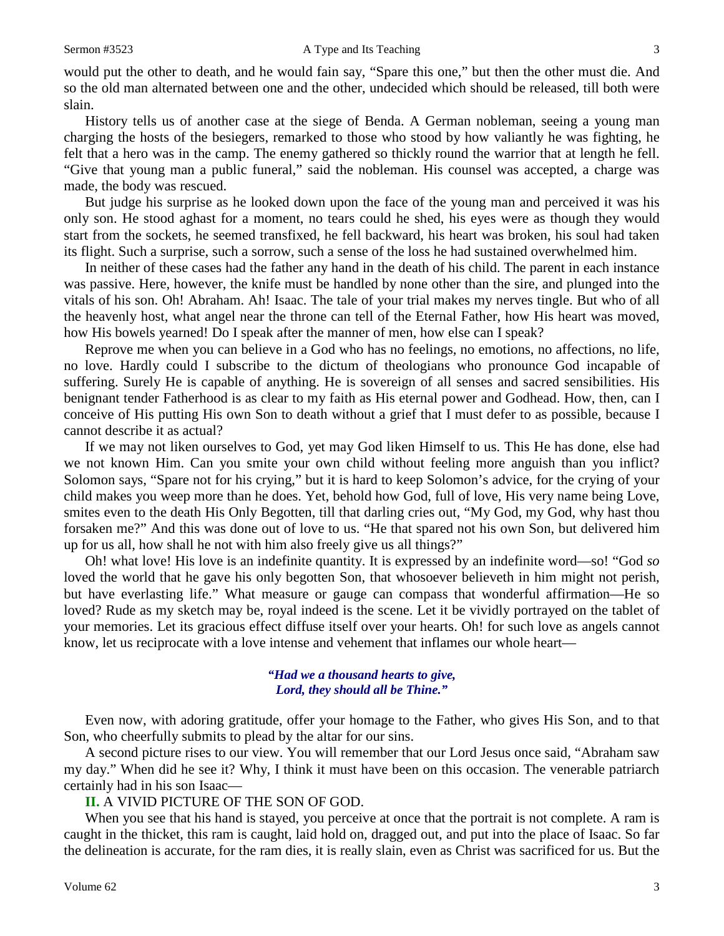would put the other to death, and he would fain say, "Spare this one," but then the other must die. And so the old man alternated between one and the other, undecided which should be released, till both were slain.

History tells us of another case at the siege of Benda. A German nobleman, seeing a young man charging the hosts of the besiegers, remarked to those who stood by how valiantly he was fighting, he felt that a hero was in the camp. The enemy gathered so thickly round the warrior that at length he fell. "Give that young man a public funeral," said the nobleman. His counsel was accepted, a charge was made, the body was rescued.

But judge his surprise as he looked down upon the face of the young man and perceived it was his only son. He stood aghast for a moment, no tears could he shed, his eyes were as though they would start from the sockets, he seemed transfixed, he fell backward, his heart was broken, his soul had taken its flight. Such a surprise, such a sorrow, such a sense of the loss he had sustained overwhelmed him.

In neither of these cases had the father any hand in the death of his child. The parent in each instance was passive. Here, however, the knife must be handled by none other than the sire, and plunged into the vitals of his son. Oh! Abraham. Ah! Isaac. The tale of your trial makes my nerves tingle. But who of all the heavenly host, what angel near the throne can tell of the Eternal Father, how His heart was moved, how His bowels yearned! Do I speak after the manner of men, how else can I speak?

Reprove me when you can believe in a God who has no feelings, no emotions, no affections, no life, no love. Hardly could I subscribe to the dictum of theologians who pronounce God incapable of suffering. Surely He is capable of anything. He is sovereign of all senses and sacred sensibilities. His benignant tender Fatherhood is as clear to my faith as His eternal power and Godhead. How, then, can I conceive of His putting His own Son to death without a grief that I must defer to as possible, because I cannot describe it as actual?

If we may not liken ourselves to God, yet may God liken Himself to us. This He has done, else had we not known Him. Can you smite your own child without feeling more anguish than you inflict? Solomon says, "Spare not for his crying," but it is hard to keep Solomon's advice, for the crying of your child makes you weep more than he does. Yet, behold how God, full of love, His very name being Love, smites even to the death His Only Begotten, till that darling cries out, "My God, my God, why hast thou forsaken me?" And this was done out of love to us. "He that spared not his own Son, but delivered him up for us all, how shall he not with him also freely give us all things?"

Oh! what love! His love is an indefinite quantity. It is expressed by an indefinite word—so! "God *so* loved the world that he gave his only begotten Son, that whosoever believeth in him might not perish, but have everlasting life." What measure or gauge can compass that wonderful affirmation—He so loved? Rude as my sketch may be, royal indeed is the scene. Let it be vividly portrayed on the tablet of your memories. Let its gracious effect diffuse itself over your hearts. Oh! for such love as angels cannot know, let us reciprocate with a love intense and vehement that inflames our whole heart—

#### *"Had we a thousand hearts to give, Lord, they should all be Thine."*

Even now, with adoring gratitude, offer your homage to the Father, who gives His Son, and to that Son, who cheerfully submits to plead by the altar for our sins.

A second picture rises to our view. You will remember that our Lord Jesus once said, "Abraham saw my day." When did he see it? Why, I think it must have been on this occasion. The venerable patriarch certainly had in his son Isaac—

#### **II.** A VIVID PICTURE OF THE SON OF GOD.

When you see that his hand is stayed, you perceive at once that the portrait is not complete. A ram is caught in the thicket, this ram is caught, laid hold on, dragged out, and put into the place of Isaac. So far the delineation is accurate, for the ram dies, it is really slain, even as Christ was sacrificed for us. But the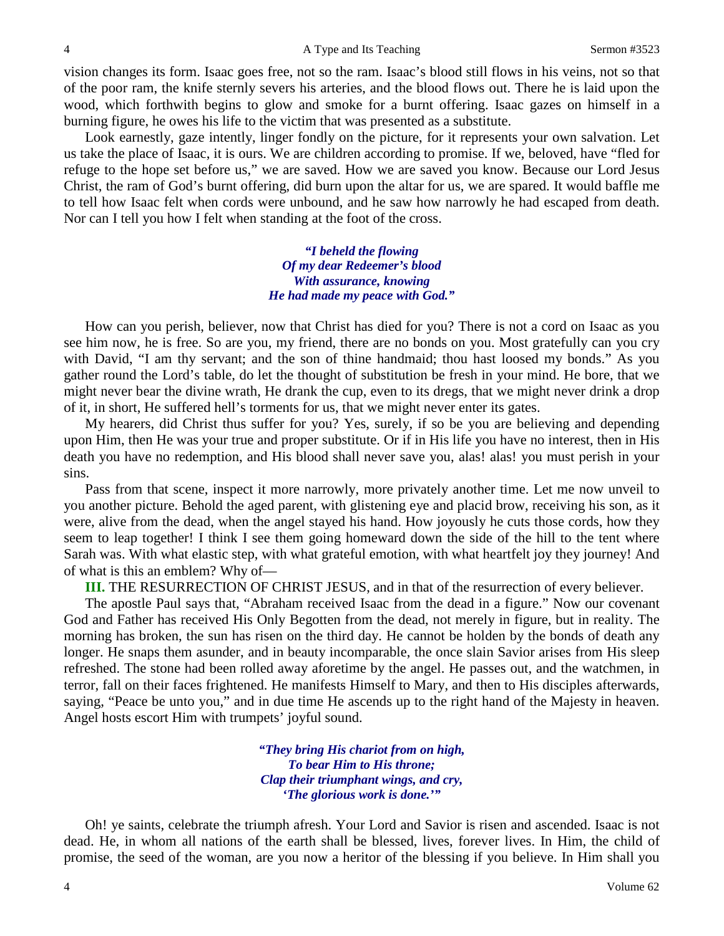vision changes its form. Isaac goes free, not so the ram. Isaac's blood still flows in his veins, not so that of the poor ram, the knife sternly severs his arteries, and the blood flows out. There he is laid upon the wood, which forthwith begins to glow and smoke for a burnt offering. Isaac gazes on himself in a burning figure, he owes his life to the victim that was presented as a substitute.

Look earnestly, gaze intently, linger fondly on the picture, for it represents your own salvation. Let us take the place of Isaac, it is ours. We are children according to promise. If we, beloved, have "fled for refuge to the hope set before us," we are saved. How we are saved you know. Because our Lord Jesus Christ, the ram of God's burnt offering, did burn upon the altar for us, we are spared. It would baffle me to tell how Isaac felt when cords were unbound, and he saw how narrowly he had escaped from death. Nor can I tell you how I felt when standing at the foot of the cross.

> *"I beheld the flowing Of my dear Redeemer's blood With assurance, knowing He had made my peace with God."*

How can you perish, believer, now that Christ has died for you? There is not a cord on Isaac as you see him now, he is free. So are you, my friend, there are no bonds on you. Most gratefully can you cry with David, "I am thy servant; and the son of thine handmaid; thou hast loosed my bonds." As you gather round the Lord's table, do let the thought of substitution be fresh in your mind. He bore, that we might never bear the divine wrath, He drank the cup, even to its dregs, that we might never drink a drop of it, in short, He suffered hell's torments for us, that we might never enter its gates.

My hearers, did Christ thus suffer for you? Yes, surely, if so be you are believing and depending upon Him, then He was your true and proper substitute. Or if in His life you have no interest, then in His death you have no redemption, and His blood shall never save you, alas! alas! you must perish in your sins.

Pass from that scene, inspect it more narrowly, more privately another time. Let me now unveil to you another picture. Behold the aged parent, with glistening eye and placid brow, receiving his son, as it were, alive from the dead, when the angel stayed his hand. How joyously he cuts those cords, how they seem to leap together! I think I see them going homeward down the side of the hill to the tent where Sarah was. With what elastic step, with what grateful emotion, with what heartfelt joy they journey! And of what is this an emblem? Why of—

**III.** THE RESURRECTION OF CHRIST JESUS, and in that of the resurrection of every believer.

The apostle Paul says that, "Abraham received Isaac from the dead in a figure." Now our covenant God and Father has received His Only Begotten from the dead, not merely in figure, but in reality. The morning has broken, the sun has risen on the third day. He cannot be holden by the bonds of death any longer. He snaps them asunder, and in beauty incomparable, the once slain Savior arises from His sleep refreshed. The stone had been rolled away aforetime by the angel. He passes out, and the watchmen, in terror, fall on their faces frightened. He manifests Himself to Mary, and then to His disciples afterwards, saying, "Peace be unto you," and in due time He ascends up to the right hand of the Majesty in heaven. Angel hosts escort Him with trumpets' joyful sound.

> *"They bring His chariot from on high, To bear Him to His throne; Clap their triumphant wings, and cry, 'The glorious work is done.'"*

Oh! ye saints, celebrate the triumph afresh. Your Lord and Savior is risen and ascended. Isaac is not dead. He, in whom all nations of the earth shall be blessed, lives, forever lives. In Him, the child of promise, the seed of the woman, are you now a heritor of the blessing if you believe. In Him shall you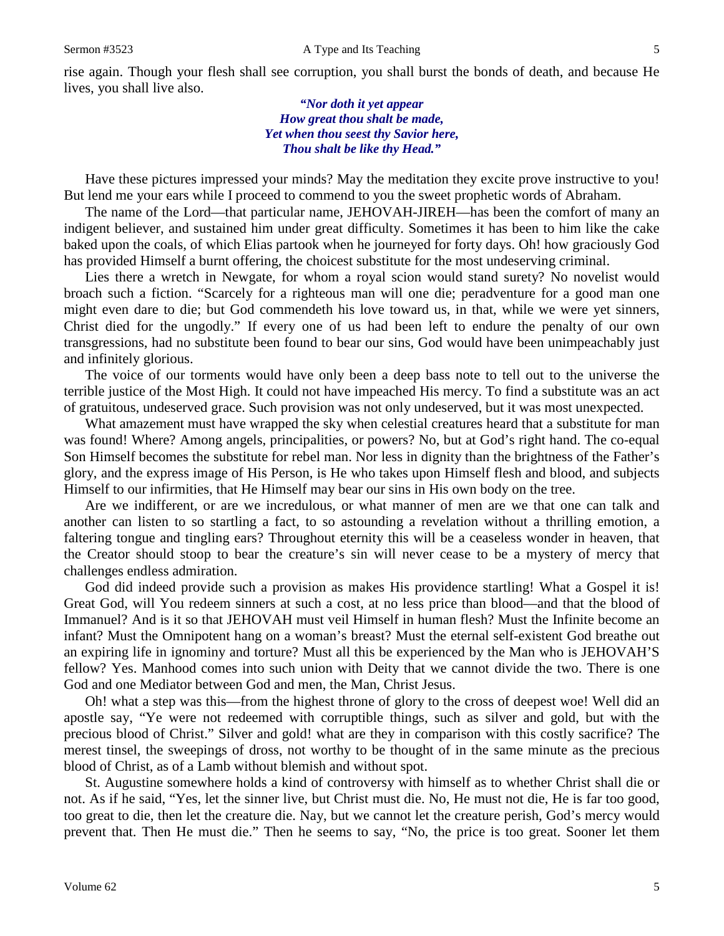rise again. Though your flesh shall see corruption, you shall burst the bonds of death, and because He lives, you shall live also.

> *"Nor doth it yet appear How great thou shalt be made, Yet when thou seest thy Savior here, Thou shalt be like thy Head."*

Have these pictures impressed your minds? May the meditation they excite prove instructive to you! But lend me your ears while I proceed to commend to you the sweet prophetic words of Abraham.

The name of the Lord—that particular name, JEHOVAH-JIREH—has been the comfort of many an indigent believer, and sustained him under great difficulty. Sometimes it has been to him like the cake baked upon the coals, of which Elias partook when he journeyed for forty days. Oh! how graciously God has provided Himself a burnt offering, the choicest substitute for the most undeserving criminal.

Lies there a wretch in Newgate, for whom a royal scion would stand surety? No novelist would broach such a fiction. "Scarcely for a righteous man will one die; peradventure for a good man one might even dare to die; but God commendeth his love toward us, in that, while we were yet sinners, Christ died for the ungodly." If every one of us had been left to endure the penalty of our own transgressions, had no substitute been found to bear our sins, God would have been unimpeachably just and infinitely glorious.

The voice of our torments would have only been a deep bass note to tell out to the universe the terrible justice of the Most High. It could not have impeached His mercy. To find a substitute was an act of gratuitous, undeserved grace. Such provision was not only undeserved, but it was most unexpected.

What amazement must have wrapped the sky when celestial creatures heard that a substitute for man was found! Where? Among angels, principalities, or powers? No, but at God's right hand. The co-equal Son Himself becomes the substitute for rebel man. Nor less in dignity than the brightness of the Father's glory, and the express image of His Person, is He who takes upon Himself flesh and blood, and subjects Himself to our infirmities, that He Himself may bear our sins in His own body on the tree.

Are we indifferent, or are we incredulous, or what manner of men are we that one can talk and another can listen to so startling a fact, to so astounding a revelation without a thrilling emotion, a faltering tongue and tingling ears? Throughout eternity this will be a ceaseless wonder in heaven, that the Creator should stoop to bear the creature's sin will never cease to be a mystery of mercy that challenges endless admiration.

God did indeed provide such a provision as makes His providence startling! What a Gospel it is! Great God, will You redeem sinners at such a cost, at no less price than blood—and that the blood of Immanuel? And is it so that JEHOVAH must veil Himself in human flesh? Must the Infinite become an infant? Must the Omnipotent hang on a woman's breast? Must the eternal self-existent God breathe out an expiring life in ignominy and torture? Must all this be experienced by the Man who is JEHOVAH'S fellow? Yes. Manhood comes into such union with Deity that we cannot divide the two. There is one God and one Mediator between God and men, the Man, Christ Jesus.

Oh! what a step was this—from the highest throne of glory to the cross of deepest woe! Well did an apostle say, "Ye were not redeemed with corruptible things, such as silver and gold, but with the precious blood of Christ." Silver and gold! what are they in comparison with this costly sacrifice? The merest tinsel, the sweepings of dross, not worthy to be thought of in the same minute as the precious blood of Christ, as of a Lamb without blemish and without spot.

St. Augustine somewhere holds a kind of controversy with himself as to whether Christ shall die or not. As if he said, "Yes, let the sinner live, but Christ must die. No, He must not die, He is far too good, too great to die, then let the creature die. Nay, but we cannot let the creature perish, God's mercy would prevent that. Then He must die." Then he seems to say, "No, the price is too great. Sooner let them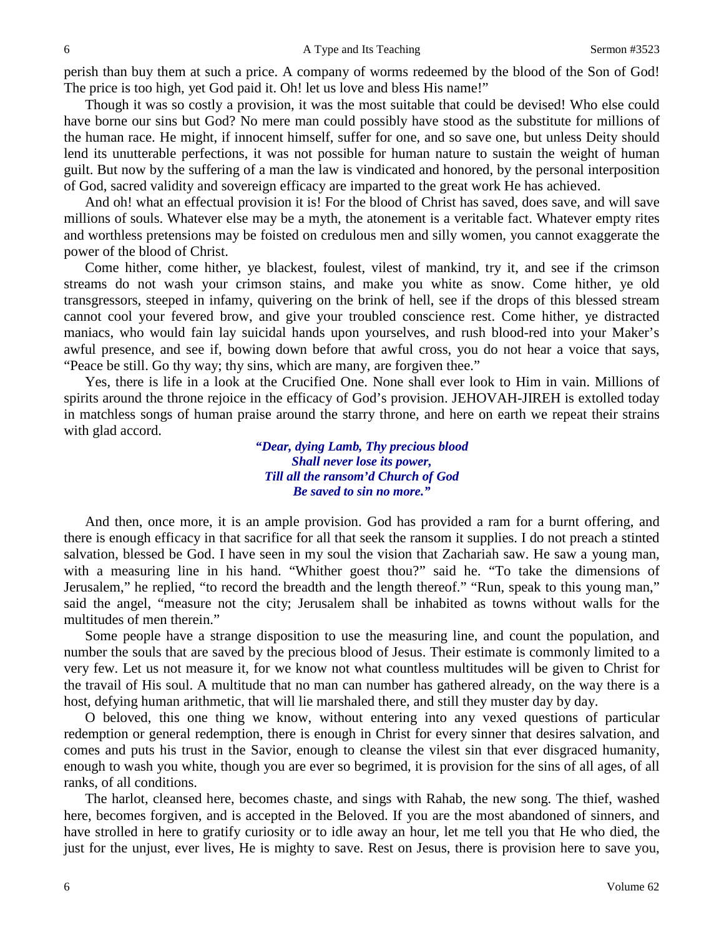perish than buy them at such a price. A company of worms redeemed by the blood of the Son of God! The price is too high, yet God paid it. Oh! let us love and bless His name!"

Though it was so costly a provision, it was the most suitable that could be devised! Who else could have borne our sins but God? No mere man could possibly have stood as the substitute for millions of the human race. He might, if innocent himself, suffer for one, and so save one, but unless Deity should lend its unutterable perfections, it was not possible for human nature to sustain the weight of human guilt. But now by the suffering of a man the law is vindicated and honored, by the personal interposition of God, sacred validity and sovereign efficacy are imparted to the great work He has achieved.

And oh! what an effectual provision it is! For the blood of Christ has saved, does save, and will save millions of souls. Whatever else may be a myth, the atonement is a veritable fact. Whatever empty rites and worthless pretensions may be foisted on credulous men and silly women, you cannot exaggerate the power of the blood of Christ.

Come hither, come hither, ye blackest, foulest, vilest of mankind, try it, and see if the crimson streams do not wash your crimson stains, and make you white as snow. Come hither, ye old transgressors, steeped in infamy, quivering on the brink of hell, see if the drops of this blessed stream cannot cool your fevered brow, and give your troubled conscience rest. Come hither, ye distracted maniacs, who would fain lay suicidal hands upon yourselves, and rush blood-red into your Maker's awful presence, and see if, bowing down before that awful cross, you do not hear a voice that says, "Peace be still. Go thy way; thy sins, which are many, are forgiven thee."

Yes, there is life in a look at the Crucified One. None shall ever look to Him in vain. Millions of spirits around the throne rejoice in the efficacy of God's provision. JEHOVAH-JIREH is extolled today in matchless songs of human praise around the starry throne, and here on earth we repeat their strains with glad accord.

> *"Dear, dying Lamb, Thy precious blood Shall never lose its power, Till all the ransom'd Church of God Be saved to sin no more."*

And then, once more, it is an ample provision. God has provided a ram for a burnt offering, and there is enough efficacy in that sacrifice for all that seek the ransom it supplies. I do not preach a stinted salvation, blessed be God. I have seen in my soul the vision that Zachariah saw. He saw a young man, with a measuring line in his hand. "Whither goest thou?" said he. "To take the dimensions of Jerusalem," he replied, "to record the breadth and the length thereof." "Run, speak to this young man," said the angel, "measure not the city; Jerusalem shall be inhabited as towns without walls for the multitudes of men therein."

Some people have a strange disposition to use the measuring line, and count the population, and number the souls that are saved by the precious blood of Jesus. Their estimate is commonly limited to a very few. Let us not measure it, for we know not what countless multitudes will be given to Christ for the travail of His soul. A multitude that no man can number has gathered already, on the way there is a host, defying human arithmetic, that will lie marshaled there, and still they muster day by day.

O beloved, this one thing we know, without entering into any vexed questions of particular redemption or general redemption, there is enough in Christ for every sinner that desires salvation, and comes and puts his trust in the Savior, enough to cleanse the vilest sin that ever disgraced humanity, enough to wash you white, though you are ever so begrimed, it is provision for the sins of all ages, of all ranks, of all conditions.

The harlot, cleansed here, becomes chaste, and sings with Rahab, the new song. The thief, washed here, becomes forgiven, and is accepted in the Beloved. If you are the most abandoned of sinners, and have strolled in here to gratify curiosity or to idle away an hour, let me tell you that He who died, the just for the unjust, ever lives, He is mighty to save. Rest on Jesus, there is provision here to save you,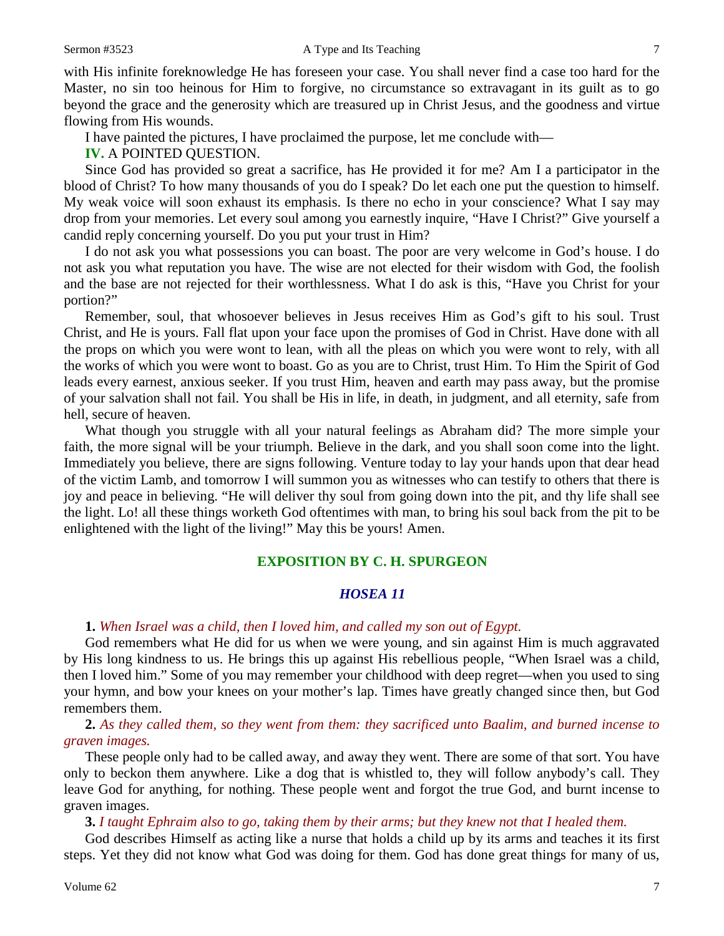with His infinite foreknowledge He has foreseen your case. You shall never find a case too hard for the Master, no sin too heinous for Him to forgive, no circumstance so extravagant in its guilt as to go beyond the grace and the generosity which are treasured up in Christ Jesus, and the goodness and virtue flowing from His wounds.

I have painted the pictures, I have proclaimed the purpose, let me conclude with—

**IV.** A POINTED QUESTION.

Since God has provided so great a sacrifice, has He provided it for me? Am I a participator in the blood of Christ? To how many thousands of you do I speak? Do let each one put the question to himself. My weak voice will soon exhaust its emphasis. Is there no echo in your conscience? What I say may drop from your memories. Let every soul among you earnestly inquire, "Have I Christ?" Give yourself a candid reply concerning yourself. Do you put your trust in Him?

I do not ask you what possessions you can boast. The poor are very welcome in God's house. I do not ask you what reputation you have. The wise are not elected for their wisdom with God, the foolish and the base are not rejected for their worthlessness. What I do ask is this, "Have you Christ for your portion?"

Remember, soul, that whosoever believes in Jesus receives Him as God's gift to his soul. Trust Christ, and He is yours. Fall flat upon your face upon the promises of God in Christ. Have done with all the props on which you were wont to lean, with all the pleas on which you were wont to rely, with all the works of which you were wont to boast. Go as you are to Christ, trust Him. To Him the Spirit of God leads every earnest, anxious seeker. If you trust Him, heaven and earth may pass away, but the promise of your salvation shall not fail. You shall be His in life, in death, in judgment, and all eternity, safe from hell, secure of heaven.

What though you struggle with all your natural feelings as Abraham did? The more simple your faith, the more signal will be your triumph. Believe in the dark, and you shall soon come into the light. Immediately you believe, there are signs following. Venture today to lay your hands upon that dear head of the victim Lamb, and tomorrow I will summon you as witnesses who can testify to others that there is joy and peace in believing. "He will deliver thy soul from going down into the pit, and thy life shall see the light. Lo! all these things worketh God oftentimes with man, to bring his soul back from the pit to be enlightened with the light of the living!" May this be yours! Amen.

## **EXPOSITION BY C. H. SPURGEON**

## *HOSEA 11*

### **1.** *When Israel was a child, then I loved him, and called my son out of Egypt.*

God remembers what He did for us when we were young, and sin against Him is much aggravated by His long kindness to us. He brings this up against His rebellious people, "When Israel was a child, then I loved him." Some of you may remember your childhood with deep regret—when you used to sing your hymn, and bow your knees on your mother's lap. Times have greatly changed since then, but God remembers them.

**2.** *As they called them, so they went from them: they sacrificed unto Baalim, and burned incense to graven images.*

These people only had to be called away, and away they went. There are some of that sort. You have only to beckon them anywhere. Like a dog that is whistled to, they will follow anybody's call. They leave God for anything, for nothing. These people went and forgot the true God, and burnt incense to graven images.

**3.** *I taught Ephraim also to go, taking them by their arms; but they knew not that I healed them.*

God describes Himself as acting like a nurse that holds a child up by its arms and teaches it its first steps. Yet they did not know what God was doing for them. God has done great things for many of us,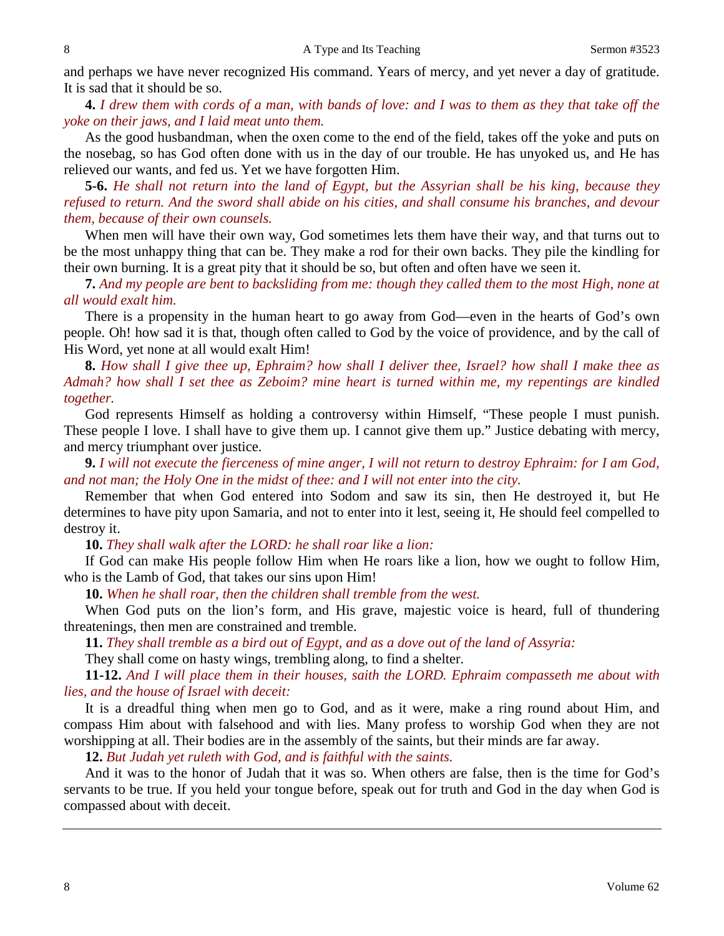and perhaps we have never recognized His command. Years of mercy, and yet never a day of gratitude. It is sad that it should be so.

**4.** *I drew them with cords of a man, with bands of love: and I was to them as they that take off the yoke on their jaws, and I laid meat unto them.*

As the good husbandman, when the oxen come to the end of the field, takes off the yoke and puts on the nosebag, so has God often done with us in the day of our trouble. He has unyoked us, and He has relieved our wants, and fed us. Yet we have forgotten Him.

**5-6.** *He shall not return into the land of Egypt, but the Assyrian shall be his king, because they refused to return. And the sword shall abide on his cities, and shall consume his branches, and devour them, because of their own counsels.*

When men will have their own way, God sometimes lets them have their way, and that turns out to be the most unhappy thing that can be. They make a rod for their own backs. They pile the kindling for their own burning. It is a great pity that it should be so, but often and often have we seen it.

**7.** *And my people are bent to backsliding from me: though they called them to the most High, none at all would exalt him.*

There is a propensity in the human heart to go away from God—even in the hearts of God's own people. Oh! how sad it is that, though often called to God by the voice of providence, and by the call of His Word, yet none at all would exalt Him!

**8.** *How shall I give thee up, Ephraim? how shall I deliver thee, Israel? how shall I make thee as Admah? how shall I set thee as Zeboim? mine heart is turned within me, my repentings are kindled together.*

God represents Himself as holding a controversy within Himself, "These people I must punish. These people I love. I shall have to give them up. I cannot give them up." Justice debating with mercy, and mercy triumphant over justice.

**9.** *I will not execute the fierceness of mine anger, I will not return to destroy Ephraim: for I am God, and not man; the Holy One in the midst of thee: and I will not enter into the city.*

Remember that when God entered into Sodom and saw its sin, then He destroyed it, but He determines to have pity upon Samaria, and not to enter into it lest, seeing it, He should feel compelled to destroy it.

**10.** *They shall walk after the LORD: he shall roar like a lion:*

If God can make His people follow Him when He roars like a lion, how we ought to follow Him, who is the Lamb of God, that takes our sins upon Him!

**10.** *When he shall roar, then the children shall tremble from the west.*

When God puts on the lion's form, and His grave, majestic voice is heard, full of thundering threatenings, then men are constrained and tremble.

**11.** *They shall tremble as a bird out of Egypt, and as a dove out of the land of Assyria:*

They shall come on hasty wings, trembling along, to find a shelter.

**11-12.** *And I will place them in their houses, saith the LORD. Ephraim compasseth me about with lies, and the house of Israel with deceit:*

It is a dreadful thing when men go to God, and as it were, make a ring round about Him, and compass Him about with falsehood and with lies. Many profess to worship God when they are not worshipping at all. Their bodies are in the assembly of the saints, but their minds are far away.

**12.** *But Judah yet ruleth with God, and is faithful with the saints.*

And it was to the honor of Judah that it was so. When others are false, then is the time for God's servants to be true. If you held your tongue before, speak out for truth and God in the day when God is compassed about with deceit.